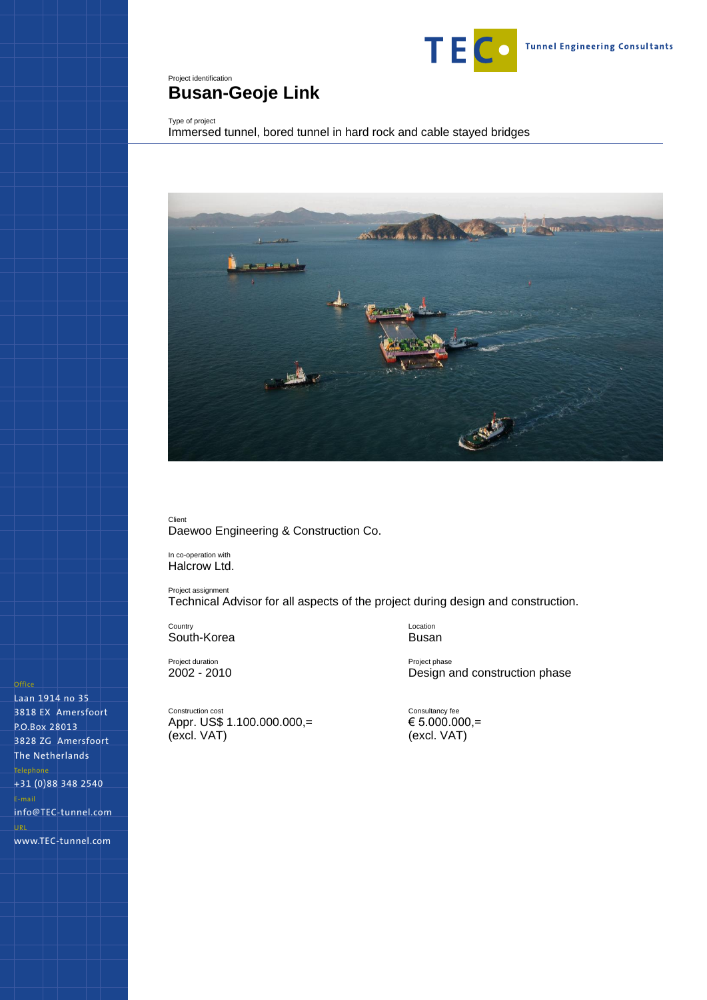

# <span id="page-0-0"></span>Project identification **Busan-Geoje Link**

## Type of project

<span id="page-0-1"></span>Immersed tunnel, bored tunnel in hard rock and cable stayed bridges



Client Daewoo Engineering & Construction Co.

In co-operation with Halcrow Ltd.

Project assignment Technical Advisor for all aspects of the project during design and construction.

**Country** South-Korea

Project duration 2002 - 2010

Construction cost Appr. US\$ 1.100.000.000,= (excl. VAT)

Location Busan

Project phase Design and construction phase

Consultancy fee  $\epsilon$  5.000.000,= (excl. VAT)

Laan 1914 no 35 3818 EX Amersfoort P.O.Box 28013 3828 ZG Amersfoort The Netherlands +31 (0)88 348 2540 info@TEC-tunnel.com www.TEC-tunnel.com